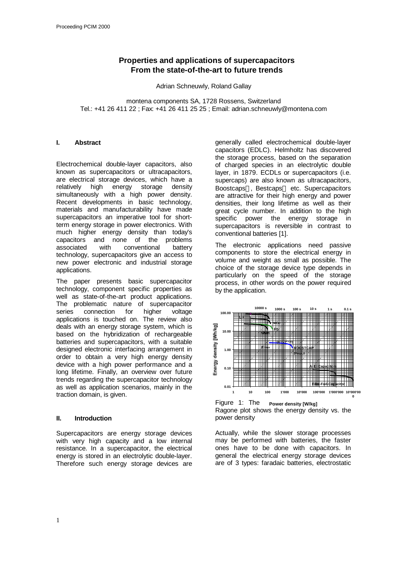# **Properties and applications of supercapacitors From the state-of-the-art to future trends**

Adrian Schneuwly, Roland Gallay

montena components SA, 1728 Rossens, Switzerland Tel.: +41 26 411 22 ; Fax: +41 26 411 25 25 ; Email: adrian.schneuwly@montena.com

#### **I. Abstract**

Electrochemical double-layer capacitors, also known as supercapacitors or ultracapacitors, are electrical storage devices, which have a relatively high energy storage density simultaneously with a high power density. Recent developments in basic technology, materials and manufacturability have made supercapacitors an imperative tool for shortterm energy storage in power electronics. With much higher energy density than today's capacitors and none of the problems associated with conventional battery technology, supercapacitors give an access to new power electronic and industrial storage applications.

The paper presents basic supercapacitor technology, component specific properties as well as state-of-the-art product applications. The problematic nature of supercapacitor series connection for higher voltage applications is touched on. The review also deals with an energy storage system, which is based on the hybridization of rechargeable batteries and supercapacitors, with a suitable designed electronic interfacing arrangement in order to obtain a very high energy density device with a high power performance and a long lifetime. Finally, an overview over future trends regarding the supercapacitor technology as well as application scenarios, mainly in the traction domain, is given.

## **II. Introduction**

Supercapacitors are energy storage devices with very high capacity and a low internal resistance. In a supercapacitor, the electrical energy is stored in an electrolytic double-layer. Therefore such energy storage devices are generally called electrochemical double-layer capacitors (EDLC). Helmholtz has discovered the storage process, based on the separation of charged species in an electrolytic double layer, in 1879. ECDLs or supercapacitors (i.e. supercaps) are also known as ultracapacitors, Boostcaps<sup>™</sup>. Bestcaps<sup>™</sup> etc. Supercapacitors are attractive for their high energy and power densities, their long lifetime as well as their great cycle number. In addition to the high specific power the energy storage in supercapacitors is reversible in contrast to conventional batteries [1].

The electronic applications need passive components to store the electrical energy in volume and weight as small as possible. The choice of the storage device type depends in particularly on the speed of the storage process, in other words on the power required by the application.





Actually, while the slower storage processes may be performed with batteries, the faster ones have to be done with capacitors. In general the electrical energy storage devices are of 3 types: faradaic batteries, electrostatic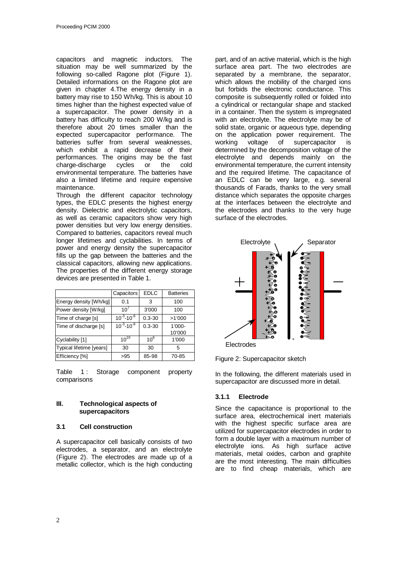capacitors and magnetic inductors. The situation may be well summarized by the following so-called Ragone plot (Figure 1). Detailed informations on the Ragone plot are given in chapter 4.The energy density in a battery may rise to 150 Wh/kg. This is about 10 times higher than the highest expected value of a supercapacitor. The power density in a battery has difficulty to reach 200 W/kg and is therefore about 20 times smaller than the expected supercapacitor performance. The batteries suffer from several weaknesses, which exhibit a rapid decrease of their performances. The origins may be the fast charge-discharge cycles or the cold environmental temperature. The batteries have also a limited lifetime and require expensive maintenance.

Through the different capacitor technology types, the EDLC presents the highest energy density. Dielectric and electrolytic capacitors, as well as ceramic capacitors show very high power densities but very low energy densities. Compared to batteries, capacitors reveal much longer lifetimes and cyclabilities. In terms of power and energy density the supercapacitor fills up the gap between the batteries and the classical capacitors, allowing new applications. The properties of the different energy storage devices are presented in Table 1.

|                          | Capacitors          | <b>EDLC</b>     | <b>Batteries</b> |
|--------------------------|---------------------|-----------------|------------------|
| Energy density [Wh/kg]   | 0.1                 | 3               | 100              |
| Power density [W/kg]     | $10^{7}$            | 3'000           | 100              |
| Time of charge [s]       | $10^{-3} - 10^{-6}$ | $0.3 - 30$      | >1'000           |
| Time of discharge [s]    | $10^{-3} - 10^{-6}$ | $0.3 - 30$      | 1'000-           |
|                          |                     |                 | 10'000           |
| Cyclability [1]          | $10^{10}$           | 10 <sup>6</sup> | 1'000            |
| Typical lifetime [years] | 30                  | 30              | 5                |
| Efficiency [%]           | >95                 | 85-98           | 70-85            |

Table 1: Storage component property comparisons

## **III. Technological aspects of supercapacitors**

#### **3.1 Cell construction**

A supercapacitor cell basically consists of two electrodes, a separator, and an electrolyte (Figure 2). The electrodes are made up of a metallic collector, which is the high conducting

part, and of an active material, which is the high surface area part. The two electrodes are separated by a membrane, the separator, which allows the mobility of the charged ions but forbids the electronic conductance. This composite is subsequently rolled or folded into a cylindrical or rectangular shape and stacked in a container. Then the system is impregnated with an electrolyte. The electrolyte may be of solid state, organic or aqueous type, depending on the application power requirement. The working voltage of supercapacitor is determined by the decomposition voltage of the electrolyte and depends mainly on the environmental temperature, the current intensity and the required lifetime. The capacitance of an EDLC can be very large, e.g. several thousands of Farads, thanks to the very small distance which separates the opposite charges at the interfaces between the electrolyte and the electrodes and thanks to the very huge surface of the electrodes.



Electrodes

Figure 2: Supercapacitor sketch

In the following, the different materials used in supercapacitor are discussed more in detail.

## **3.1.1 Electrode**

Since the capacitance is proportional to the surface area, electrochemical inert materials with the highest specific surface area are utilized for supercapacitor electrodes in order to form a double layer with a maximum number of electrolyte ions. As high surface active materials, metal oxides, carbon and graphite are the most interesting. The main difficulties are to find cheap materials, which are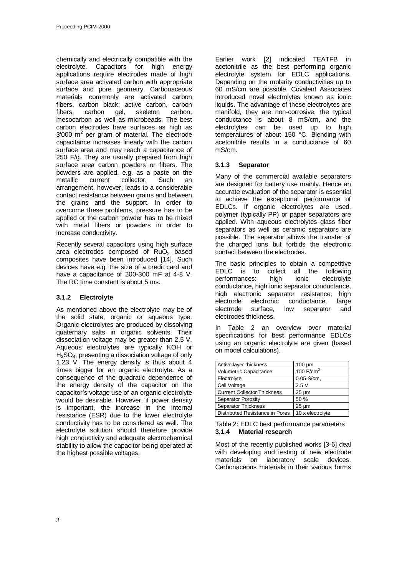chemically and electrically compatible with the electrolyte. Capacitors for high energy applications require electrodes made of high surface area activated carbon with appropriate surface and pore geometry. Carbonaceous materials commonly are activated carbon fibers, carbon black, active carbon, carbon<br>fibers. carbon gel, skeleton carbon, carbon gel, skeleton carbon, mesocarbon as well as microbeads. The best carbon electrodes have surfaces as high as  $3'000$  m<sup>2</sup> per gram of material. The electrode capacitance increases linearly with the carbon surface area and may reach a capacitance of 250 F/g. They are usually prepared from high surface area carbon powders or fibers. The powders are applied, e.g. as a paste on the metallic current collector. Such an arrangement, however, leads to a considerable contact resistance between grains and between the grains and the support. In order to overcome these problems, pressure has to be applied or the carbon powder has to be mixed with metal fibers or powders in order to increase conductivity.

Recently several capacitors using high surface area electrodes composed of RuO<sub>2</sub> based composites have been introduced [14]. Such devices have e.g. the size of a credit card and have a capacitance of 200-300 mF at 4-8 V. The RC time constant is about 5 ms.

# **3.1.2 Electrolyte**

As mentioned above the electrolyte may be of the solid state, organic or aqueous type. Organic electrolytes are produced by dissolving quaternary salts in organic solvents. Their dissociation voltage may be greater than 2.5 V. Aqueous electrolytes are typically KOH or H2SO4, presenting a dissociation voltage of only 1.23 V. The energy density is thus about 4 times bigger for an organic electrolyte. As a consequence of the quadratic dependence of the energy density of the capacitor on the capacitor's voltage use of an organic electrolyte would be desirable. However, if power density is important, the increase in the internal resistance (ESR) due to the lower electrolyte conductivity has to be considered as well. The electrolyte solution should therefore provide high conductivity and adequate electrochemical stability to allow the capacitor being operated at the highest possible voltages.

Earlier work [2] indicated TEATFB in acetonitrile as the best performing organic electrolyte system for EDLC applications. Depending on the molarity conductivities up to 60 mS/cm are possible. Covalent Associates introduced novel electrolytes known as ionic liquids. The advantage of these electrolytes are manifold, they are non-corrosive, the typical conductance is about 8 mS/cm, and the electrolytes can be used up to high temperatures of about 150 °C. Blending with acetonitrile results in a conductance of 60 mS/cm.

# **3.1.3 Separator**

Many of the commercial available separators are designed for battery use mainly. Hence an accurate evaluation of the separator is essential to achieve the exceptional performance of EDLCs. If organic electrolytes are used, polymer (typically PP) or paper separators are applied. With aqueous electrolytes glass fiber separators as well as ceramic separators are possible. The separator allows the transfer of the charged ions but forbids the electronic contact between the electrodes.

The basic principles to obtain a competitive EDLC is to collect all the following performances: high ionic electrolyte conductance, high ionic separator conductance, high electronic separator resistance, high electrode electronic conductance, large electrode surface, low separator and electrodes thickness.

In Table 2 an overview over material specifications for best performance EDLCs using an organic electrolyte are given (based on model calculations).

| Active layer thickness             | $100 \mu m$      |  |
|------------------------------------|------------------|--|
| Volumetric Capacitance             | 100 $F/cm3$      |  |
| Electrolyte                        | $0.05$ S/cm,     |  |
| Cell Voltage                       | 2.5V             |  |
| <b>Current Collector Thickness</b> | $25 \mu m$       |  |
| Separator Porosity                 | 50 %             |  |
| Separator Thickness                | $25 \mu m$       |  |
| Distributed Resistance in Pores    | 10 x electrolyte |  |

Table 2: EDLC best performance parameters **3.1.4 Material research**

Most of the recently published works [3-6] deal with developing and testing of new electrode materials on laboratory scale devices. Carbonaceous materials in their various forms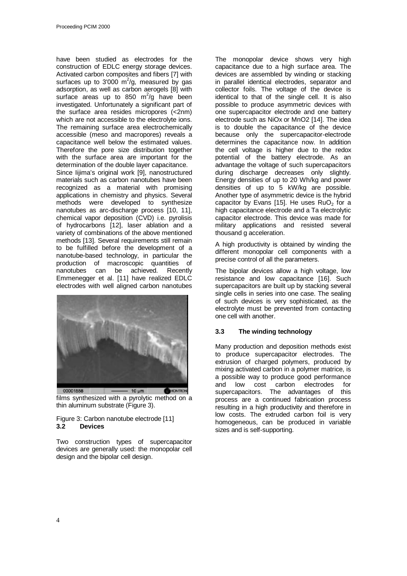have been studied as electrodes for the construction of EDLC energy storage devices. Activated carbon composites and fibers [7] with surfaces up to 3'000  $m^2$ /g, measured by gas adsorption, as well as carbon aerogels [8] with surface areas up to 850  $\text{m}^2/\text{g}$  have been investigated. Unfortunately a significant part of the surface area resides micropores (<2nm) which are not accessible to the electrolyte ions. The remaining surface area electrochemically accessible (meso and macropores) reveals a capacitance well below the estimated values. Therefore the pore size distribution together with the surface area are important for the determination of the double layer capacitance.

Since Iijima's original work [9], nanostructured materials such as carbon nanotubes have been recognized as a material with promising applications in chemistry and physics. Several methods were developed to synthesize nanotubes as arc-discharge process [10, 11], chemical vapor deposition (CVD) i.e. pyrolisis of hydrocarbons [12], laser ablation and a variety of combinations of the above mentioned methods [13]. Several requirements still remain to be fulfilled before the development of a nanotube-based technology, in particular the production of macroscopic quantities of nanotubes can be achieved. Recently Emmenegger et al. [11] have realized EDLC electrodes with well aligned carbon nanotubes



films synthesized with a pyrolytic method on a thin aluminum substrate (Figure 3).

## Figure 3: Carbon nanotube electrode [11] **3.2 Devices**

Two construction types of supercapacitor devices are generally used: the monopolar cell design and the bipolar cell design.

The monopolar device shows very high capacitance due to a high surface area. The devices are assembled by winding or stacking in parallel identical electrodes, separator and collector foils. The voltage of the device is identical to that of the single cell. It is also possible to produce asymmetric devices with one supercapacitor electrode and one battery electrode such as NiOx or MnO2 [14]. The idea is to double the capacitance of the device because only the supercapacitor-electrode determines the capacitance now. In addition the cell voltage is higher due to the redox potential of the battery electrode. As an advantage the voltage of such supercapacitors during discharge decreases only slightly. Energy densities of up to 20 Wh/kg and power densities of up to 5 kW/kg are possible. Another type of asymmetric device is the hybrid capacitor by Evans [15]. He uses  $RuO<sub>2</sub>$  for a high capacitance electrode and a Ta electrolytic capacitor electrode. This device was made for military applications and resisted several thousand g acceleration.

A high productivity is obtained by winding the different monopolar cell components with a precise control of all the parameters.

The bipolar devices allow a high voltage, low resistance and low capacitance [16]. Such supercapacitors are built up by stacking several single cells in series into one case. The sealing of such devices is very sophisticated, as the electrolyte must be prevented from contacting one cell with another.

# **3.3 The winding technology**

Many production and deposition methods exist to produce supercapacitor electrodes. The extrusion of charged polymers, produced by mixing activated carbon in a polymer matrice, is a possible way to produce good performance and low cost carbon electrodes for supercapacitors. The advantages of this process are a continued fabrication process resulting in a high productivity and therefore in low costs. The extruded carbon foil is very homogeneous, can be produced in variable sizes and is self-supporting.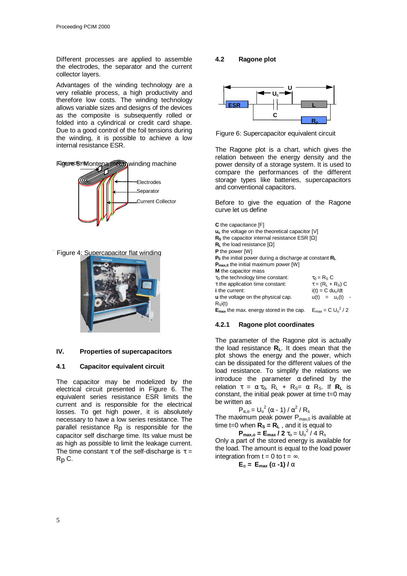Different processes are applied to assemble the electrodes, the separator and the current collector layers.

Advantages of the winding technology are a very reliable process, a high productivity and therefore low costs. The winding technology allows variable sizes and designs of the devices as the composite is subsequently rolled or folded into a cylindrical or credit card shape. Due to a good control of the foil tensions during the winding, it is possible to achieve a low internal resistance ESR.





Figure 4: Supercapacitor flat winding



#### **IV. Properties of supercapacitors**

#### **4.1 Capacitor equivalent circuit**

The capacitor may be modelized by the electrical circuit presented in Figure 6. The equivalent series resistance ESR limits the current and is responsible for the electrical losses. To get high power, it is absolutely necessary to have a low series resistance. The parallel resistance  $R<sub>p</sub>$  is responsible for the capacitor self discharge time. Its value must be as high as possible to limit the leakage current. The time constant  $\tau$  of the self-discharge is  $\tau$  = Rp C.

## **4.2 Ragone plot**



Figure 6: Supercapacitor equivalent circuit

The Ragone plot is a chart, which gives the relation between the energy density and the power density of a storage system. It is used to compare the performances of the different storage types like batteries, supercapacitors and conventional capacitors.

Before to give the equation of the Ragone curve let us define

**C** the capacitance [F] **uc** the voltage on the theoretical capacitor [V] **RS** the capacitor internal resistance ESR [Ω] **RL** the load resistance [Ω] **P** the power [W] **P0** the initial power during a discharge at constant **R<sup>L</sup> P**<sub>max,0</sub> the initial maximum power [W] **M** the capacitor mass **t<sub>0</sub>** the technology time constant:  $\tau_0 = R_S C$ <br> **t** the application time constant:  $\tau = (R_L + R_S) C$ **t** the application time constant:<br>i the current:  $i(t) = C \, du/dt$ **u** the voltage on the physical cap.  $u(t) = u_c(t)$  - $R_{\text{si}}(t)$  $E_{\text{max}}$  the max. energy stored in the cap.  $E_{\text{max}} = C U_0^2 / 2$ 

## **4.2.1 Ragone plot coordinates**

The parameter of the Ragone plot is actually the load resistance **RL**. It does mean that the plot shows the energy and the power, which can be dissipated for the different values of the load resistance. To simplify the relations we introduce the parameter  $\alpha$  defined by the relation  $\tau = \alpha \tau_0$ ,  $R_L + R_S = \alpha R_S$ . If  $R_L$  is constant, the initial peak power at time t=0 may be written as

$$
P_{\alpha, o} = U_o^2 (\alpha - 1) / \alpha^2 / R_s
$$

The maximum peak power  $P_{max,0}$  is available at time t=0 when  $\overline{R}_s = \overline{R}_L$ , and it is equal to

 $P_{\text{max,o}} = E_{\text{max}} / 2 t_{o} = U_{o}^{2} / 4 R_{s}$ 

Only a part of the stored energy is available for the load. The amount is equal to the load power integration from  $t = 0$  to  $t = \infty$ .

$$
E_{a} = E_{\text{max}}(a-1)/a
$$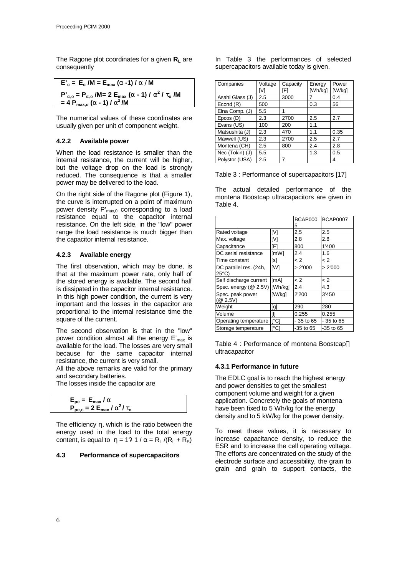The Ragone plot coordinates for a given **RL** are consequently

$$
E'_a = E_a / M = E_{max} (a - 1) / a / M
$$
  
\n
$$
P'_{a,o} = P_{a,o} / M = 2 E_{max} (a - 1) / a^2 / t_o / M
$$
  
\n
$$
= 4 P_{max,o} (a - 1) / a^2 / M
$$

The numerical values of these coordinates are usually given per unit of component weight.

## **4.2.2 Available power**

When the load resistance is smaller than the internal resistance, the current will be higher, but the voltage drop on the load is strongly reduced. The consequence is that a smaller power may be delivered to the load.

On the right side of the Ragone plot (Figure 1), the curve is interrupted on a point of maximum power density P'<sub>max,0</sub> corresponding to a load resistance equal to the capacitor internal resistance. On the left side, in the "low" power range the load resistance is much bigger than the capacitor internal resistance.

## **4.2.3 Available energy**

The first observation, which may be done, is that at the maximum power rate, only half of the stored energy is available. The second half is dissipated in the capacitor internal resistance. In this high power condition, the current is very important and the losses in the capacitor are proportional to the internal resistance time the square of the current.

The second observation is that in the "low" power condition almost all the energy  $E'_{max}$  is available for the load. The losses are very small because for the same capacitor internal resistance, the current is very small.

All the above remarks are valid for the primary and secondary batteries.

The losses inside the capacitor are

$$
E_{p\alpha} = E_{\text{max}} / a
$$
  
\n
$$
P_{p\alpha, \text{o}} = 2 E_{\text{max}} / a^2 / t_{\text{o}}
$$

The efficiency η, which is the ratio between the energy used in the load to the total energy content, is equal to  $\eta = 1$ ?  $1 / \alpha = R_1 / (R_1 + R_S)$ 

#### **4.3 Performance of supercapacitors**

In Table 3 the performances of selected supercapacitors available today is given.

| Companies       | Voltage | Capacity | Energy  | Power  |
|-----------------|---------|----------|---------|--------|
|                 | IV1     | [F]      | [Wh/kg] | [W/kg] |
| Asahi Glass (J) | 2.5     | 3000     |         | 0.4    |
| Econd $(R)$     | 500     |          | 0.3     | 56     |
| Elna Comp. (J)  | 5.5     | 1        |         |        |
| Epcos (D)       | 2.3     | 2700     | 2.5     | 2.7    |
| Evans (US)      | 100     | 200      | 1.1     |        |
| Matsushita (J)  | 2.3     | 470      | 1.1     | 0.35   |
| Maxwell (US)    | 2.3     | 2700     | 2.5     | 2.7    |
| Montena (CH)    | 2.5     | 800      | 2.4     | 2.8    |
| Nec (Tokin) (J) | 5.5     |          | 1.3     | 0.5    |
| Polystor (USA)  | 2.5     |          |         | 4      |

Table 3 : Performance of supercapacitors [17]

The actual detailed performance of the montena Boostcap ultracapacitors are given in Table 4.

|                                 |              | BCAP000<br>5 | <b>BCAP0007</b> |
|---------------------------------|--------------|--------------|-----------------|
| Rated voltage                   | [V]          | 2.5          | 2.5             |
| Max. voltage                    | [V]          | 2.8          | 2.8             |
| Capacitance                     | [F]          | 800          | 1'400           |
| DC serial resistance            | [mW]         | 2.4          | 1.6             |
| Time constant                   | [s]          | < 2          | $\lt 2$         |
| DC parallel res. (24h,<br>25°C) | [W]          | > 2'000      | > 2'000         |
| Self discharge current          | [mA]         | $\lt 2$      | < 2             |
| Spec. energy (@ 2.5V) [Wh/kg]   |              | 2.4          | 4.3             |
| Spec. peak power<br>(@ 2.5V)    | [W/kq]       | 2'200        | 3'450           |
| Weight                          | [g]          | 290          | 280             |
| Volume                          | [I]          | 0.255        | 0.255           |
| Operating temperature           | $\lceil$ °Cl | - 35 to 65   | - 35 to 65      |
| Storage temperature             | [°C]         | $-35$ to 65  | $-35$ to $65$   |

Table 4 : Performance of montena Boostcap™ ultracapacitor

## **4.3.1 Performance in future**

The EDLC goal is to reach the highest energy and power densities to get the smallest component volume and weight for a given application. Concretely the goals of montena have been fixed to 5 Wh/kg for the energy density and to 5 kW/kg for the power density.

To meet these values, it is necessary to increase capacitance density, to reduce the ESR and to increase the cell operating voltage. The efforts are concentrated on the study of the electrode surface and accessibility, the grain to grain and grain to support contacts, the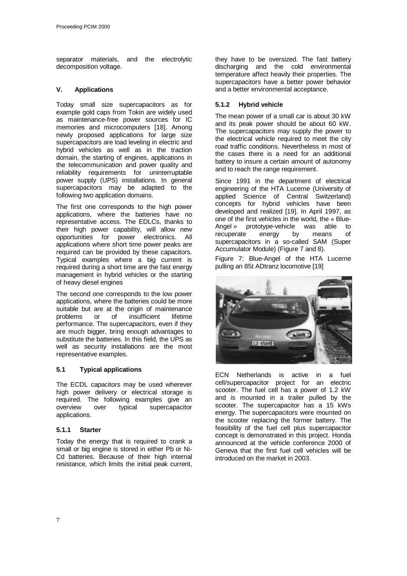separator materials, and the electrolytic decomposition voltage.

## **V. Applications**

Today small size supercapacitors as for example gold caps from Tokin are widely used as maintenance-free power sources for IC memories and microcomputers [18]. Among newly proposed applications for large size supercapacitors are load leveling in electric and hybrid vehicles as well as in the traction domain, the starting of engines, applications in the telecommunication and power quality and reliability requirements for uninterruptable power supply (UPS) installations. In general supercapacitors may be adapted to the following two application domains.

The first one corresponds to the high power applications, where the batteries have no representative access. The EDLCs, thanks to their high power capability, will allow new opportunities for power electronics. All applications where short time power peaks are required can be provided by these capacitors. Typical examples where a big current is required during a short time are the fast energy management in hybrid vehicles or the starting of heavy diesel engines

The second one corresponds to the low power applications, where the batteries could be more suitable but are at the origin of maintenance problems or of insufficient lifetime performance. The supercapacitors, even if they are much bigger, bring enough advantages to substitute the batteries. In this field, the UPS as well as security installations are the most representative examples.

# **5.1 Typical applications**

The ECDL capacitors may be used wherever high power delivery or electrical storage is required. The following examples give an<br>overview over typical supercapacitor overview over typical supercapacitor applications.

# **5.1.1 Starter**

Today the energy that is required to crank a small or big engine is stored in either Pb or Ni-Cd batteries. Because of their high internal resistance, which limits the initial peak current,

they have to be oversized. The fast battery discharging and the cold environmental temperature affect heavily their properties. The supercapacitors have a better power behavior and a better environmental acceptance.

## **5.1.2 Hybrid vehicle**

The mean power of a small car is about 30 kW and its peak power should be about 60 kW. The supercapacitors may supply the power to the electrical vehicle required to meet the city road traffic conditions. Nevertheless in most of the cases there is a need for an additional battery to insure a certain amount of autonomy and to reach the range requirement.

Since 1991 in the department of electrical engineering of the HTA Lucerne (University of applied Science of Central Switzerland) concepts for hybrid vehicles have been developed and realized [19]. In April 1997, as one of the first vehicles in the world, the « Blue-Angel » prototype-vehicle was able to recuperate energy by means of supercapacitors in a so-called SAM (Super Accumulator Module) (Figure 7 and 8).

Figure 7: Blue-Angel of the HTA Lucerne pulling an 85t ADtranz locomotive [19]



ECN Netherlands is active in a fuel cell/supercapacitor project for an electric scooter. The fuel cell has a power of 1.2 kW and is mounted in a trailer pulled by the scooter. The supercapacitor has a 15 kWs energy. The supercapacitors were mounted on the scooter replacing the former battery. The feasibility of the fuel cell plus supercapacitor concept is demonstrated in this project. Honda announced at the vehicle conference 2000 of Geneva that the first fuel cell vehicles will be introduced on the market in 2003.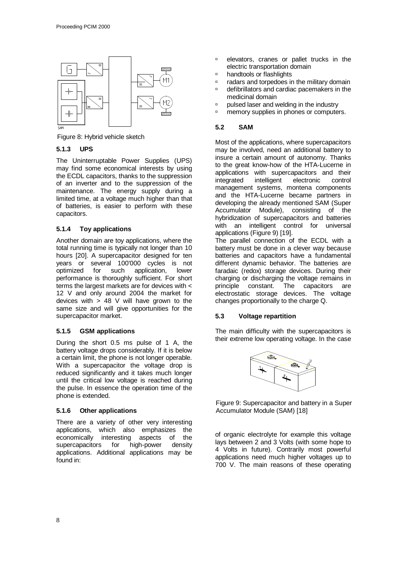

Figure 8: Hybrid vehicle sketch

# **5.1.3 UPS**

The Uninterruptable Power Supplies (UPS) may find some economical interests by using the ECDL capacitors, thanks to the suppression of an inverter and to the suppression of the maintenance. The energy supply during a limited time, at a voltage much higher than that of batteries, is easier to perform with these capacitors.

# **5.1.4 Toy applications**

Another domain are toy applications, where the total running time is typically not longer than 10 hours [20]. A supercapacitor designed for ten years or several 100'000 cycles is not optimized for such application, lower performance is thoroughly sufficient. For short terms the largest markets are for devices with < 12 V and only around 2004 the market for devices with  $> 48$  V will have grown to the same size and will give opportunities for the supercapacitor market.

# **5.1.5 GSM applications**

During the short 0.5 ms pulse of 1 A, the battery voltage drops considerably. If it is below a certain limit, the phone is not longer operable. With a supercapacitor the voltage drop is reduced significantly and it takes much longer until the critical low voltage is reached during the pulse. In essence the operation time of the phone is extended.

# **5.1.6 Other applications**

There are a variety of other very interesting applications, which also emphasizes the economically interesting aspects of the supercapacitors for high-power density applications. Additional applications may be found in:

- ˙ elevators, cranes or pallet trucks in the electric transportation domain
- ˙ handtools or flashlights
- ˙ radars and torpedoes in the military domain
- ˙ defibrillators and cardiac pacemakers in the medicinal domain
- ˙ pulsed laser and welding in the industry
- □ memory supplies in phones or computers.

# **5.2 SAM**

Most of the applications, where supercapacitors may be involved, need an additional battery to insure a certain amount of autonomy. Thanks to the great know-how of the HTA-Lucerne in applications with supercapacitors and their integrated intelligent electronic control management systems, montena components and the HTA-Lucerne became partners in developing the already mentioned SAM (Super Accumulator Module), consisting of the hybridization of supercapacitors and batteries with an intelligent control for universal applications (Figure 9) [19].

The parallel connection of the ECDL with a battery must be done in a clever way because batteries and capacitors have a fundamental different dynamic behavior. The batteries are faradaic (redox) storage devices. During their charging or discharging the voltage remains in principle constant. The capacitors are electrostatic storage devices. The voltage changes proportionally to the charge Q.

# **5.3 Voltage repartition**

The main difficulty with the supercapacitors is their extreme low operating voltage. In the case



Figure 9: Supercapacitor and battery in a Super Accumulator Module (SAM) [18]

of organic electrolyte for example this voltage lays between 2 and 3 Volts (with some hope to 4 Volts in future). Contrarily most powerful applications need much higher voltages up to 700 V. The main reasons of these operating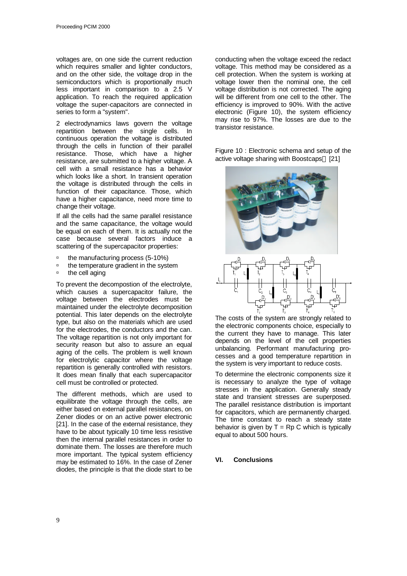voltages are, on one side the current reduction which requires smaller and lighter conductors, and on the other side, the voltage drop in the semiconductors which is proportionally much less important in comparison to a 2.5 V application. To reach the required application voltage the super-capacitors are connected in series to form a "system".

2 electrodynamics laws govern the voltage repartition between the single cells. In continuous operation the voltage is distributed through the cells in function of their parallel resistance. Those, which have a higher resistance, are submitted to a higher voltage. A cell with a small resistance has a behavior which looks like a short. In transient operation the voltage is distributed through the cells in function of their capacitance. Those, which have a higher capacitance, need more time to change their voltage.

If all the cells had the same parallel resistance and the same capacitance, the voltage would be equal on each of them. It is actually not the case because several factors induce a scattering of the supercapacitor properties:

- ˙ the manufacturing process (5-10%)
- ˙ the temperature gradient in the system
- ˙ the cell aging

To prevent the decompostion of the electrolyte, which causes a supercapacitor failure, the voltage between the electrodes must be maintained under the electrolyte decomposition potential. This later depends on the electrolyte type, but also on the materials which are used for the electrodes, the conductors and the can. The voltage repartition is not only important for security reason but also to assure an equal aging of the cells. The problem is well known for electrolytic capacitor where the voltage repartition is generally controlled with resistors. It does mean finally that each supercapacitor cell must be controlled or protected.

The different methods, which are used to equilibrate the voltage through the cells, are either based on external parallel resistances, on Zener diodes or on an active power electronic [21]. In the case of the external resistance, they have to be about typically 10 time less resistive then the internal parallel resistances in order to dominate them. The losses are therefore much more important. The typical system efficiency may be estimated to 16%. In the case of Zener diodes, the principle is that the diode start to be conducting when the voltage exceed the redact voltage. This method may be considered as a cell protection. When the system is working at voltage lower then the nominal one, the cell voltage distribution is not corrected. The aging will be different from one cell to the other. The efficiency is improved to 90%. With the active electronic (Figure 10), the system efficiency may rise to 97%. The losses are due to the transistor resistance.

Figure 10 : Electronic schema and setup of the active voltage sharing with Boostcaps<sup>™</sup> [21]



The costs of the system are strongly related to the electronic components choice, especially to the current they have to manage. This later depends on the level of the cell properties unbalancing. Performant manufacturing processes and a good temperature repartition in the system is very important to reduce costs.

To determine the electronic components size it is necessary to analyze the type of voltage stresses in the application. Generally steady state and transient stresses are superposed. The parallel resistance distribution is important for capacitors, which are permanently charged. The time constant to reach a steady state behavior is given by  $T = Rp C$  which is typically equal to about 500 hours.

#### **VI. Conclusions**